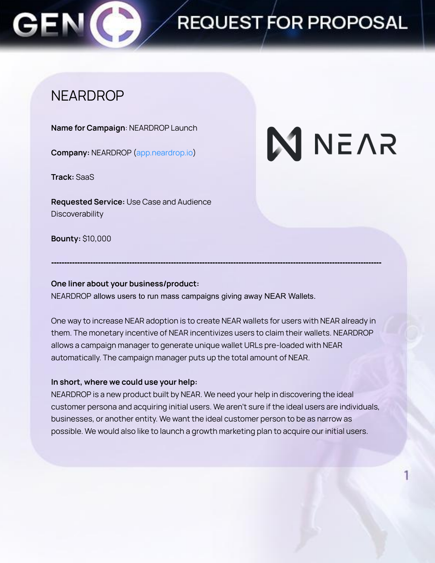### **NEARDROP**

**Name for Campaign**: NEARDROP Launch

**Company:** NEARDROP (app.neardrop.io)

**Track:** SaaS

**Requested Service:** Use Case and Audience **Discoverability** 

# **N** NEAR

**Bounty:** \$10,000

### **One liner about your business/product:**

NEARDROP allows users to run mass campaigns giving away NEAR Wallets.

One way to increase NEAR adoption is to create NEAR wallets for users with NEAR already in them. The monetary incentive of NEAR incentivizes users to claim their wallets. NEARDROP allows a campaign manager to generate unique wallet URLs pre-loaded with NEAR automatically. The campaign manager puts up the total amount of NEAR.

**-------------------------------------------------------------------------------------------------------------------------------**

### **In short, where we could use your help:**

NEARDROP is a new product built by NEAR. We need your help in discovering the ideal customer persona and acquiring initial users. We aren't sure if the ideal users are individuals, businesses, or another entity. We want the ideal customer person to be as narrow as possible. We would also like to launch a growth marketing plan to acquire our initial users.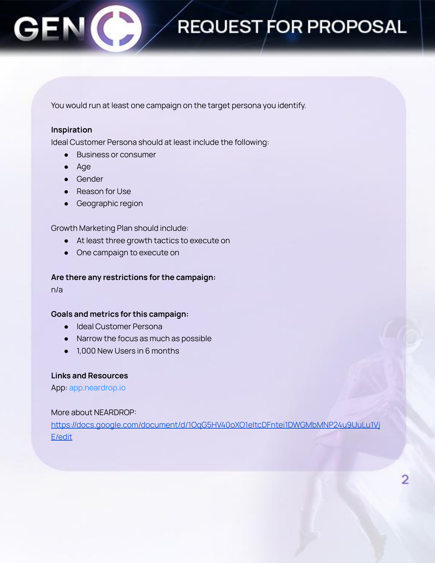You would run at least one campaign on the target persona you identify.

#### **Inspiration**

Ideal Customer Persona should at least include the following:

- Business or consumer
- Age
- Gender
- Reason for Use
- Geographic region

Growth Marketing Plan should include:

- At least three growth tactics to execute on
- One campaign to execute on

#### **Are there any restrictions for the campaign:**

n/a

#### **Goals and metrics for this campaign:**

- Ideal Customer Persona
- Narrow the focus as much as possible
- 1,000 New Users in 6 months

#### **Links and Resources**

App: app.neardrop.io

#### More about NEARDROP:

[https://docs.google.com/document/d/1OqG5HV40oXO1eltcDFntei1DWGMbMNP24u9UuLu1Vj](https://docs.google.com/document/d/1OqG5HV40oXO1eltcDFntei1DWGMbMNP24u9UuLu1VjE/edit) [E/edit](https://docs.google.com/document/d/1OqG5HV40oXO1eltcDFntei1DWGMbMNP24u9UuLu1VjE/edit)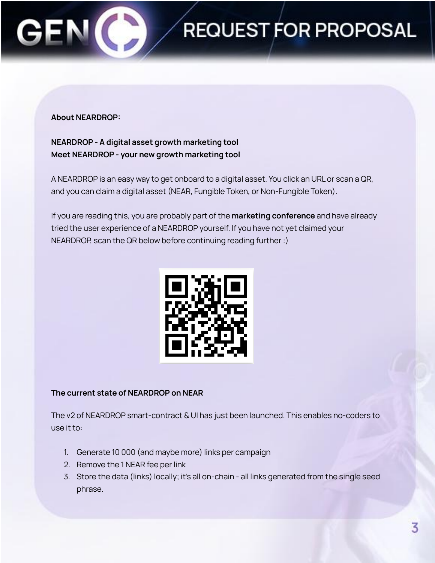

### **About NEARDROP:**

**NEARDROP - A digital asset growth marketing tool Meet NEARDROP - your new growth marketing tool**

A NEARDROP is an easy way to get onboard to a digital asset. You click an URL or scan a QR, and you can claim a digital asset (NEAR, Fungible Token, or Non-Fungible Token).

If you are reading this, you are probably part of the **marketing conference** and have already tried the user experience of a NEARDROP yourself. If you have not yet claimed your NEARDROP, scan the QR below before continuing reading further :)



### **The current state of NEARDROP on NEAR**

The v2 of NEARDROP smart-contract & UI has just been launched. This enables no-coders to use it to:

- 1. Generate 10 000 (and maybe more) links per campaign
- 2. Remove the 1 NEAR fee per link
- 3. Store the data (links) locally; it's all on-chain all links generated from the single seed phrase.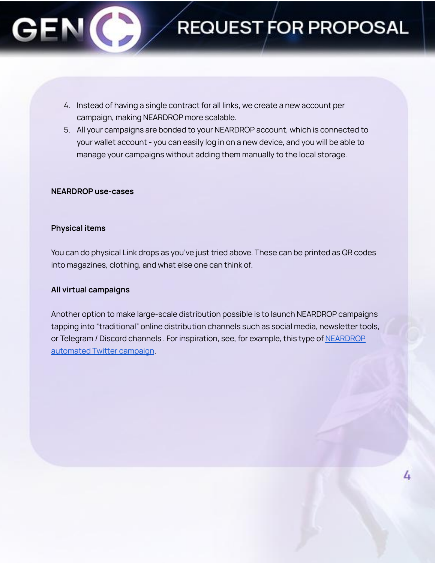- 4. Instead of having a single contract for all links, we create a new account per campaign, making NEARDROP more scalable.
- 5. All your campaigns are bonded to your NEARDROP account, which is connected to your wallet account - you can easily log in on a new device, and you will be able to manage your campaigns without adding them manually to the local storage.

#### **NEARDROP use-cases**

### **Physical items**

You can do physical Link drops as you've just tried above. These can be printed as QR codes into magazines, clothing, and what else one can think of.

### **All virtual campaigns**

Another option to make large-scale distribution possible is to launch NEARDROP campaigns tapping into "traditional" online distribution channels such as social media, newsletter tools, or Telegram / Discord channels . For inspiration, see, for example, this type of [NEARDROP](https://twitter.com/ParasHQ/status/1434863958587056129?s=19) [automated](https://twitter.com/ParasHQ/status/1434863958587056129?s=19) Twitter campaign.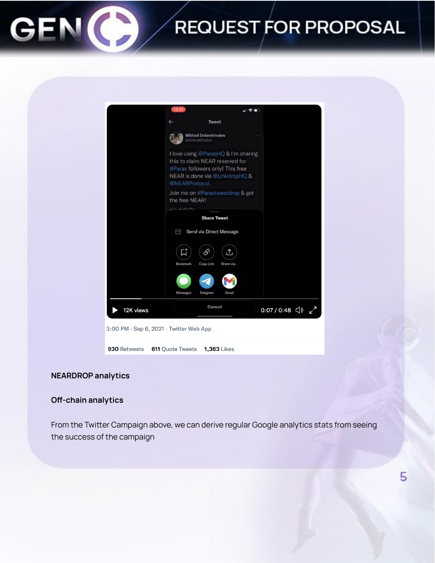

### **NEARDROP analytics**

### **Off-chain analytics**

From the Twitter Campaign above, we can derive regular Google analytics stats from seeing the success of the campaign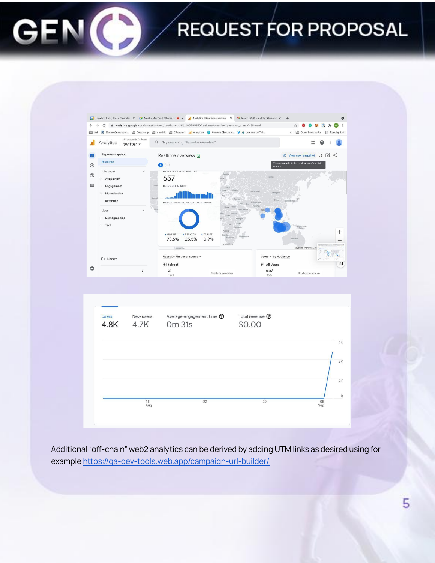



Additional "off-chain" web2 analytics can be derived by adding UTM links as desired using for example <https://ga-dev-tools.web.app/campaign-url-builder/>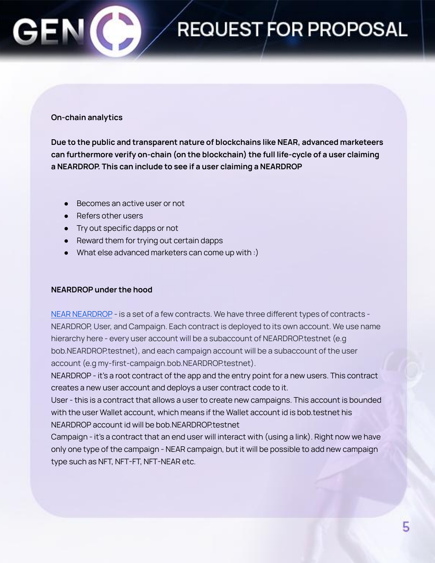### **On-chain analytics**

**Due to the public and transparent nature of blockchains like NEAR, advanced marketeers can furthermore verify on-chain (on the blockchain) the full life-cycle of a user claiming a NEARDROP. This can include to see if a user claiming a NEARDROP**

- Becomes an active user or not
- Refers other users
- Try out specific dapps or not
- **●** Reward them for trying out certain dapps
- What else advanced marketers can come up with :)

### **NEARDROP under the hood**

NEAR [NEARDROP](https://github.com/NEAR-labs) - is a set of a few contracts. We have three different types of contracts -NEARDROP, User, and Campaign. Each contract is deployed to its own account. We use name hierarchy here - every user account will be a subaccount of NEARDROP.testnet (e.g bob.NEARDROP.testnet), and each campaign account will be a subaccount of the user account (e.g my-first-campaign.bob.NEARDROP.testnet).

NEARDROP - it's a root contract of the app and the entry point for a new users. This contract creates a new user account and deploys a user contract code to it.

User - this is a contract that allows a user to create new campaigns. This account is bounded with the user Wallet account, which means if the Wallet account id is bob.testnet his NEARDROP account id will be bob.NEARDROP.testnet

Campaign - it's a contract that an end user will interact with (using a link). Right now we have only one type of the campaign - NEAR campaign, but it will be possible to add new campaign type such as NFT, NFT-FT, NFT-NEAR etc.